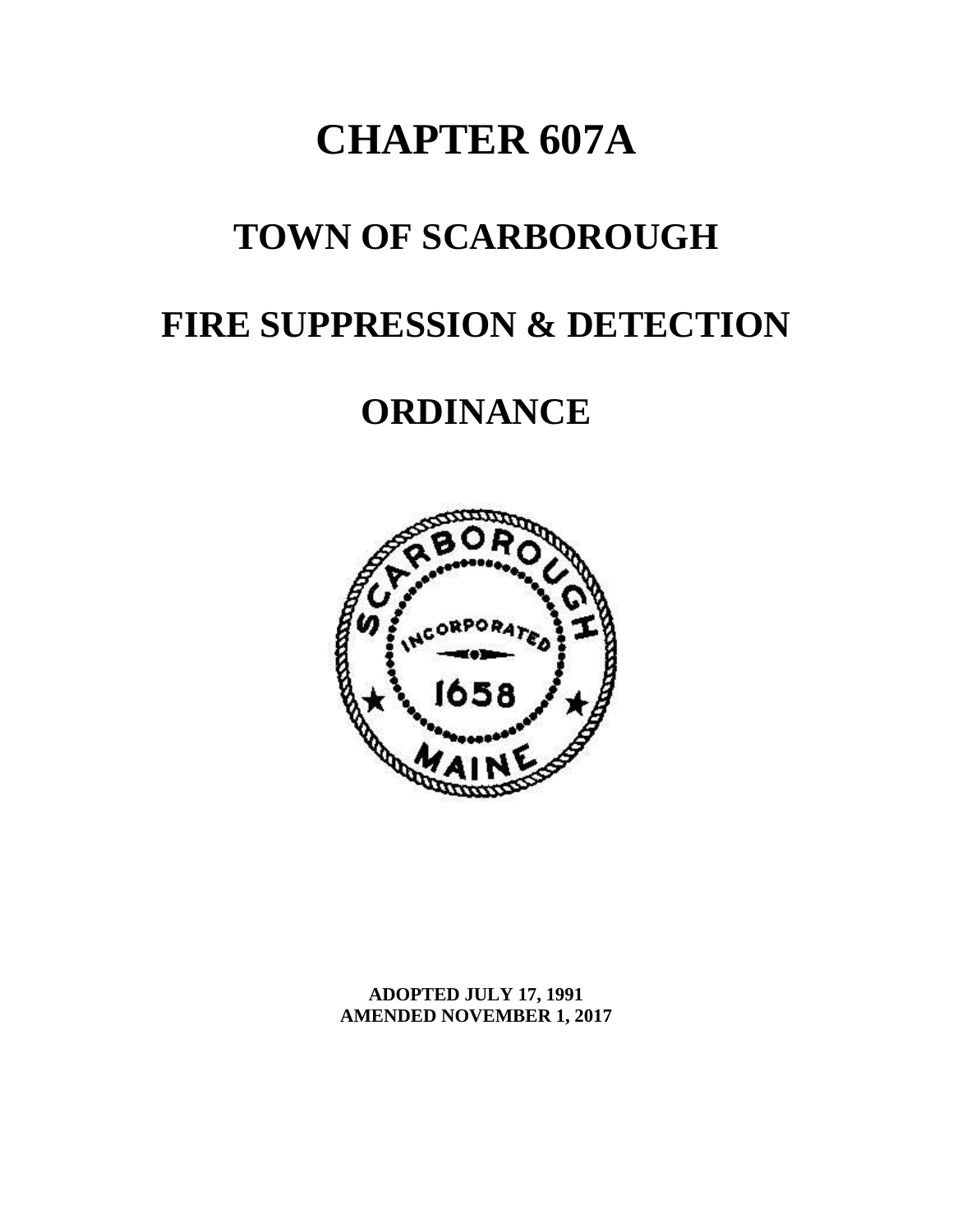# **CHAPTER 607A**

## **TOWN OF SCARBOROUGH**

## **FIRE SUPPRESSION & DETECTION**

## **ORDINANCE**



**ADOPTED JULY 17, 1991 AMENDED NOVEMBER 1, 2017**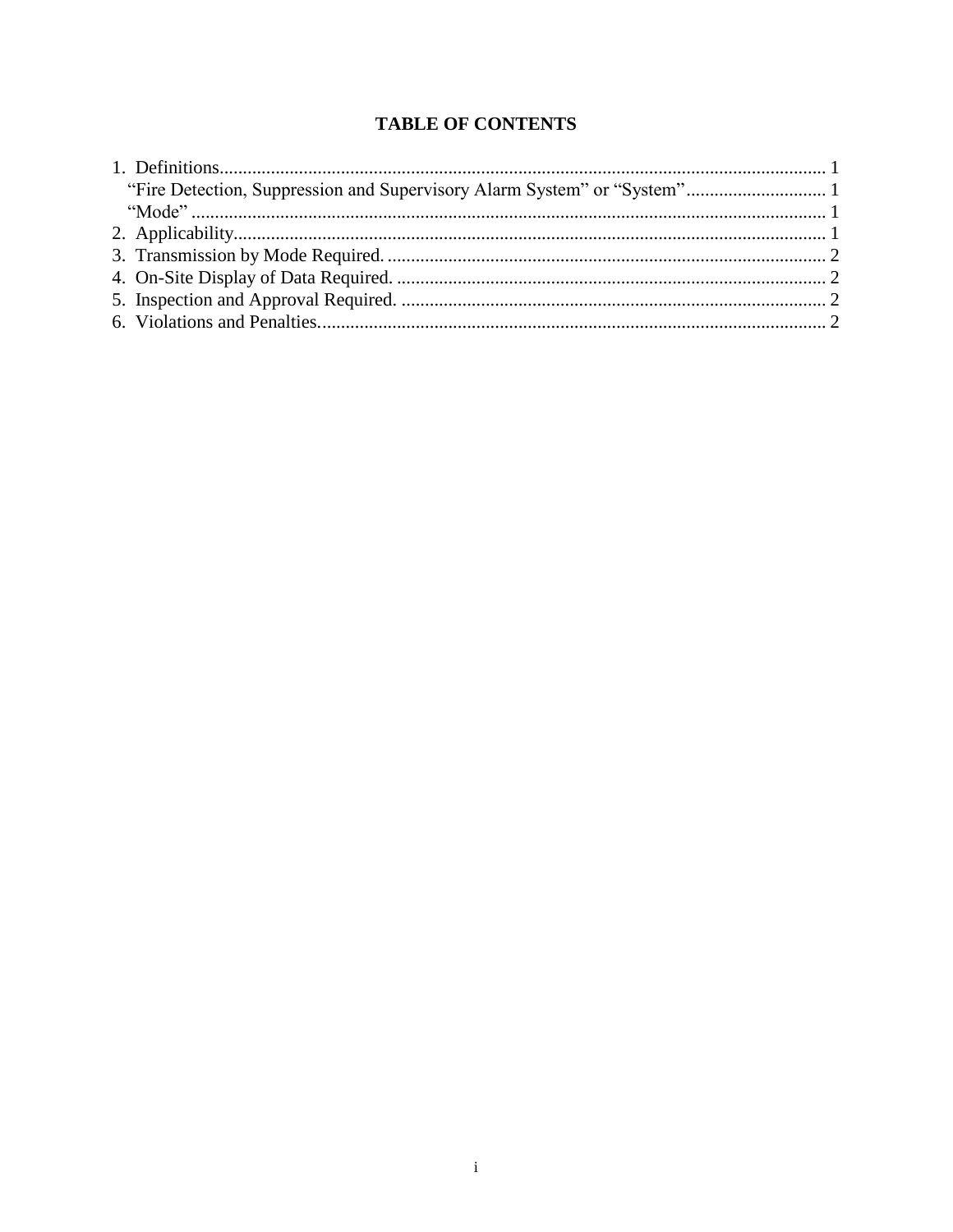### **TABLE OF CONTENTS**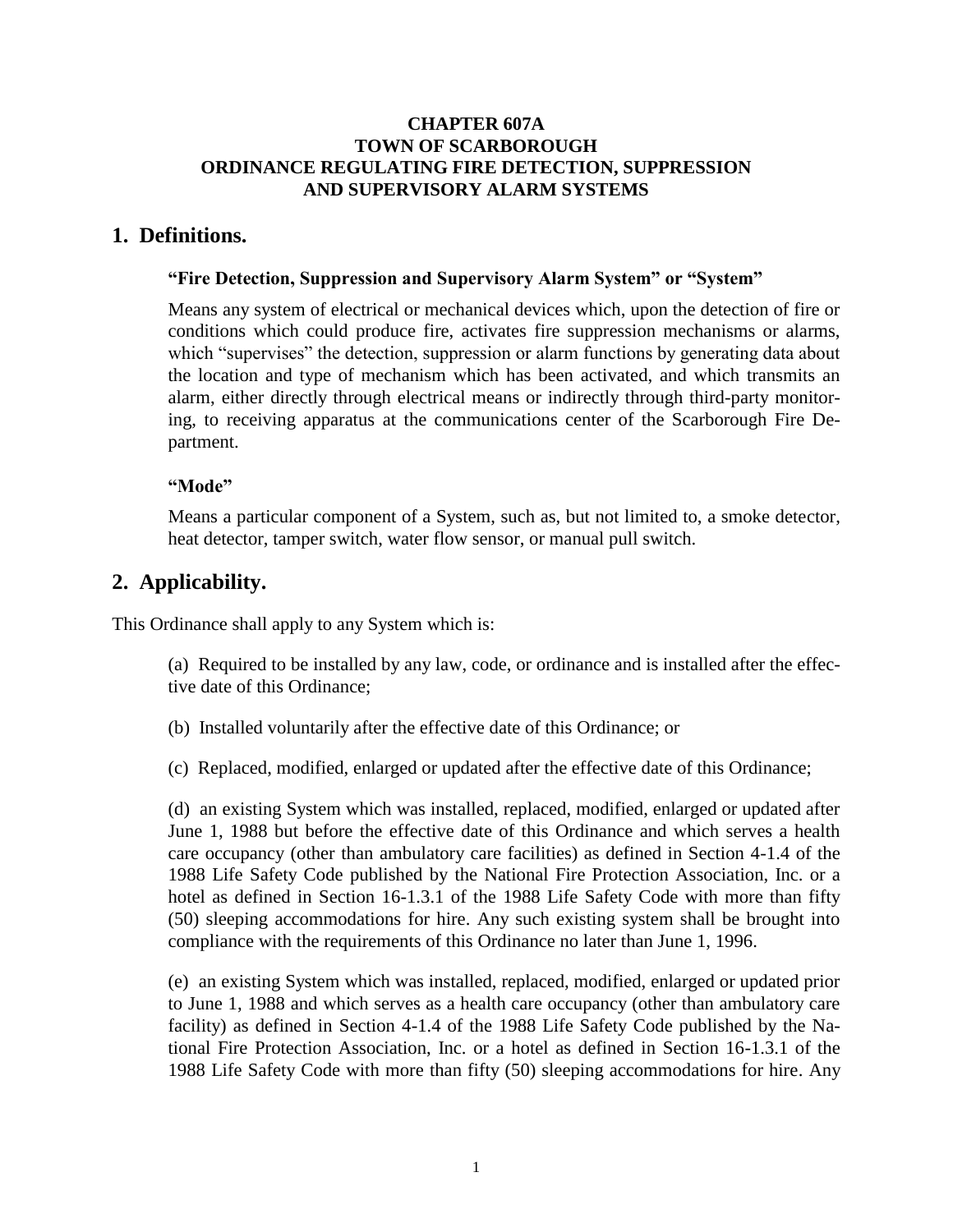#### **CHAPTER 607A TOWN OF SCARBOROUGH ORDINANCE REGULATING FIRE DETECTION, SUPPRESSION AND SUPERVISORY ALARM SYSTEMS**

#### <span id="page-2-1"></span><span id="page-2-0"></span>**1. Definitions.**

#### **"Fire Detection, Suppression and Supervisory Alarm System" or "System"**

Means any system of electrical or mechanical devices which, upon the detection of fire or conditions which could produce fire, activates fire suppression mechanisms or alarms, which "supervises" the detection, suppression or alarm functions by generating data about the location and type of mechanism which has been activated, and which transmits an alarm, either directly through electrical means or indirectly through third-party monitoring, to receiving apparatus at the communications center of the Scarborough Fire Department.

#### <span id="page-2-2"></span>**"Mode"**

Means a particular component of a System, such as, but not limited to, a smoke detector, heat detector, tamper switch, water flow sensor, or manual pull switch.

#### <span id="page-2-3"></span>**2. Applicability.**

This Ordinance shall apply to any System which is:

(a) Required to be installed by any law, code, or ordinance and is installed after the effective date of this Ordinance;

(b) Installed voluntarily after the effective date of this Ordinance; or

(c) Replaced, modified, enlarged or updated after the effective date of this Ordinance;

(d) an existing System which was installed, replaced, modified, enlarged or updated after June 1, 1988 but before the effective date of this Ordinance and which serves a health care occupancy (other than ambulatory care facilities) as defined in Section 4-1.4 of the 1988 Life Safety Code published by the National Fire Protection Association, Inc. or a hotel as defined in Section 16-1.3.1 of the 1988 Life Safety Code with more than fifty (50) sleeping accommodations for hire. Any such existing system shall be brought into compliance with the requirements of this Ordinance no later than June 1, 1996.

(e) an existing System which was installed, replaced, modified, enlarged or updated prior to June 1, 1988 and which serves as a health care occupancy (other than ambulatory care facility) as defined in Section 4-1.4 of the 1988 Life Safety Code published by the National Fire Protection Association, Inc. or a hotel as defined in Section 16-1.3.1 of the 1988 Life Safety Code with more than fifty (50) sleeping accommodations for hire. Any